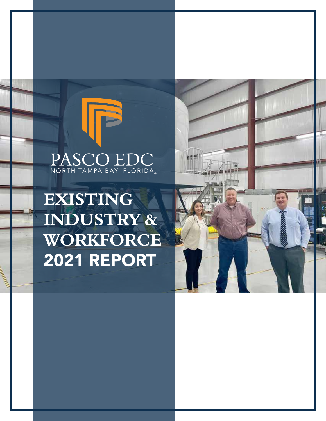### PASCO EDC NORTH TAMPA BAY, FLORIDA.

### **EXISTING INDUSTRY & WORKFORCE**  2021 REPORT

and a bill of the

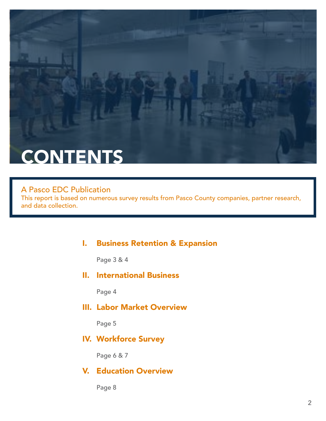

#### A Pasco EDC Publication

This report is based on numerous survey results from Pasco County companies, partner research, and data collection.

#### I. Business Retention & Expansion

Page 3 & 4

#### II. International Business

Page 4

#### III. Labor Market Overview

Page 5

#### IV. Workforce Survey

Page 6 & 7

#### V. Education Overview

Page 8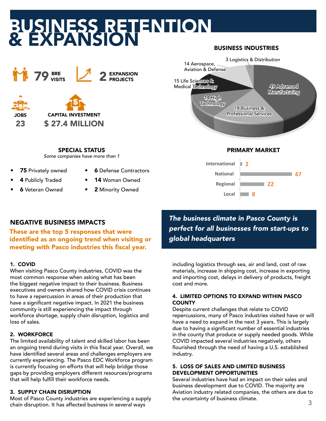# BUSINESS RETENTION & EXPANSION





CAPITAL INVESTMENT \$ 27.4 MILLION

SPECIAL STATUS *Some companies have more than 1*

- 75 Privately owned
- **6** Defense Contractors
- 4 Publicly Traded
- 14 Woman Owned
- **6** Veteran Owned
- 2 Minority Owned

#### NEGATIVE BUSINESS IMPACTS

These are the top 5 responses that were identified as an ongoing trend when visiting or meeting with Pasco industries this fiscal year.

#### 1. COVID

When visiting Pasco County industries, COVID was the most common response when asking what has been the biggest negative impact to their business. Business executives and owners shared how COVID crisis continues to have a repercussion in areas of their production that have a significant negative impact. In 2021 the business community is still experiencing the impact through workforce shortage, supply chain disruption, logistics and loss of sales.

#### 2. WORKFORCE

The limited availability of talent and skilled labor has been an ongoing trend during visits in this fiscal year. Overall, we have identified several areas and challenges employers are currently experiencing. The Pasco EDC Workforce program is currently focusing on efforts that will help bridge those gaps by providing employers different resources/programs that will help fulfill their workforce needs.

#### 3. SUPPLY CHAIN DISRUPTION

Most of Pasco County industries are experiencing a supply chain disruption. It has affected business in several ways



BUSINESS INDUSTRIES



*The business climate in Pasco County is perfect for all businesses from start-ups to global headquarters*

including logistics through sea, air and land, cost of raw materials, increase in shipping cost, increase in exporting and importing cost, delays in delivery of products, freight cost and more.

#### 4. LIMITED OPTIONS TO EXPAND WITHIN PASCO **COUNTY**

Despite current challenges that relate to COVID repercussions, many of Pasco industries visited have or will have a need to expand in the next 3 years. This is largely due to having a significant number of essential industries in the county that produce or supply needed goods. While COVID impacted several industries negatively, others flourished through the need of having a U.S. established industry.

#### 5. LOSS OF SALES AND LIMITED BUSINESS DEVELOPMENT OPPORTUNITIES

Several industries have had an impact on their sales and business development due to COVID. The majority are Aviation industry related companies, the others are due to the uncertainty of business climate.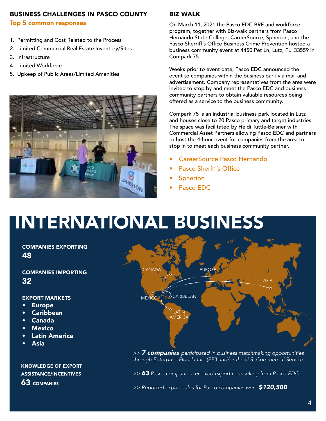#### BUSINESS CHALLENGES IN PASCO COUNTY

#### Top 5 common responses

- 1. Permitting and Cost Related to the Process
- 2. Limited Commercial Real Estate Inventory/Sites
- 3. Infrastructure
- 4. Limited Workforce
- 5. Upkeep of Public Areas/Limited Amenities



#### BIZ WALK

On March 11, 2021 the Pasco EDC BRE and workforce program, together with Biz-walk partners from Pasco Hernando State College, CareerSource, Spherion, and the Pasco Sherriff's Office Business Crime Prevention hosted a business community event at 4450 Pet Ln, Lutz, FL 33559 in Compark 75.

Weeks prior to event date, Pasco EDC announced the event to companies within the business park via mail and advertisement. Company representatives from the area were invited to stop by and meet the Pasco EDC and business community partners to obtain valuable resources being offered as a service to the business community.

Compark 75 is an industrial business park located in Lutz and houses close to 20 Pasco primary and target industries. The space was facilitated by Heidi Tuttle-Beisner with Commercial Asset Partners allowing Pasco EDC and partners to host the 4-hour event for companies from the area to stop in to meet each business community partner.

- CareerSource Pasco Hernando
- Pasco Sheriff's Office
- **Spherion**
- Pasco EDC

### INTERNATIONAL BUSINESS

#### COMPANIES EXPORTING 48

COMPANIES IMPORTING 32

#### EXPORT MARKETS

- **Europe**
- **Caribbean**
- Canada
- **Mexico**
- Latin America
- **Asia**

KNOWLEDGE OF EXPORT ASSISTANCE/INCENTIVES 63 COMPANIES



*>> 7 companies participated in business matchmaking opportunities through Enterprise Florida Inc. (EFI) and/or the U.S. Commercial Service*

*>> 63 Pasco companies received export counselling from Pasco EDC.*

*>> Reported export sales for Pasco companies were \$120,500.*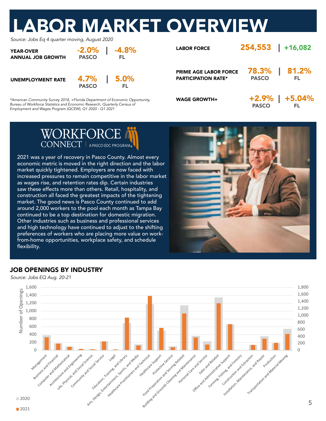## LABOR MARKET OVERVIEW

*Source: Jobs Eq 4 quarter moving, August 2020*

| <b>YEAR-OVER</b><br><b>ANNUAL JOB GROWTH</b> | <b>PASCO</b> | $-2.0\%$   $-4.8\%$<br>EL. |
|----------------------------------------------|--------------|----------------------------|
|                                              |              | 4 70/ I F 00/              |

UNEMPLOYMENT RATE **4.7% | 5.0%**<br>PASCO FL

*\*American Community Survey 2018, +Florida Department of Economic Opportunity, Bureau of Workforce Statistics and Economic Research, Quarterly Census of Employment and Wages Program (QCEW), Q1 2020 - Q1 2021*

| <b>LABOR FORCE</b>                                         | 254,553 +16,082 |                      |
|------------------------------------------------------------|-----------------|----------------------|
| <b>PRIME AGE LABOR FORCE</b><br><b>PARTICIPATION RATE*</b> | <b>PASCO</b>    | 78.3%   81.2%<br>EL. |
| <b>WAGE GROWTH+</b>                                        | <b>PASCO</b>    | $+2.9\%$   $+5.04\%$ |



2021 was a year of recovery in Pasco County. Almost every economic metric is moved in the right direction and the labor market quickly tightened. Employers are now faced with increased pressures to remain competitive in the labor market as wages rise, and retention rates dip. Certain industries saw these effects more than others. Retail, hospitality, and construction all faced the greatest impacts of the tightening market. The good news is Pasco County continued to add around 2,000 workers to the pool each month as Tampa Bay continued to be a top destination for domestic migration. Other industries such as business and professional services and high technology have continued to adjust to the shifting preferences of workers who are placing more value on workfrom-home opportunities, workplace safety, and schedule flexibility.



#### JOB OPENINGS BY INDUSTRY

*Source: Jobs EQ Aug. 20-21*

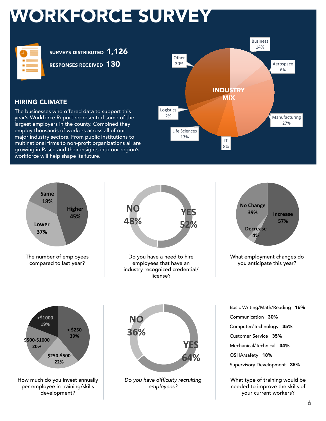### WORKFORCE SURVEY

| ____<br>_____<br>-<br>__ |
|--------------------------|
| __                       |
| _____<br>___             |
| _____<br>_____           |
|                          |

SURVEYS DISTRIBUTED 1,126

RESPONSES RECEIVED 130



#### HIRING CLIMATE

The businesses who offered data to support this year's Workforce Report represented some of the largest employers in the county. Combined they employ thousands of workers across all of our major industry sectors. From public institutions to multinational firms to non-profit organizations all are growing in Pasco and their insights into our region's workforce will help shape its future.

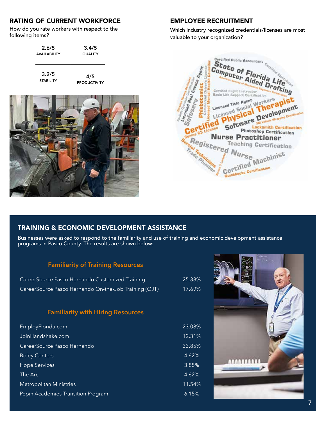#### RATING OF CURRENT WORKFORCE

How do you rate workers with respect to the following items?

| 2.6/5               | 3.4/5               |
|---------------------|---------------------|
| <b>AVAILABILITY</b> | <b>QUALITY</b>      |
| 3.2/5               | 4/5                 |
| <b>STABILITY</b>    | <b>PRODUCTIVITY</b> |



#### EMPLOYEE RECRUITMENT

Which industry recognized credentials/licenses are most valuable to your organization?



#### TRAINING & ECONOMIC DEVELOPMENT ASSISTANCE

Businesses were asked to respond to the familiarity and use of training and economic development assistance programs in Pasco County. The results are shown below:

#### **Familiarity of Training Resources**

| CareerSource Pasco Hernando Customized Training       | 25.38% |
|-------------------------------------------------------|--------|
| CareerSource Pasco Hernando On-the-Job Training (OJT) | 17.69% |

#### **Familiarity with Hiring Resources**

| EmployFlorida.com                  | 23.08% |
|------------------------------------|--------|
| JoinHandshake.com                  | 12.31% |
| CareerSource Pasco Hernando        | 33.85% |
| <b>Boley Centers</b>               | 4.62%  |
| <b>Hope Services</b>               | 3.85%  |
| The Arc                            | 4.62%  |
| <b>Metropolitan Ministries</b>     | 11.54% |
| Pepin Academies Transition Program | 6.15%  |